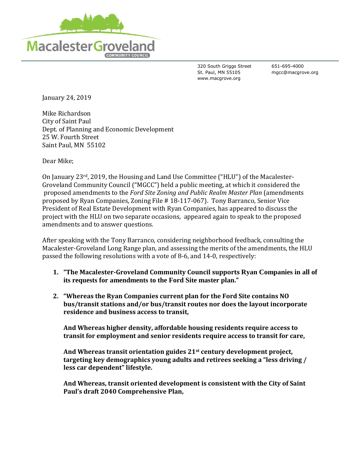

320 South Griggs Street St. Paul, MN 55105 www.macgrove.org

651-695-4000 mgcc@macgrove.org

January 24, 2019

Mike Richardson City of Saint Paul Dept. of Planning and Economic Development 25 W. Fourth Street Saint Paul, MN 55102

Dear Mike;

On January 23rd, 2019, the Housing and Land Use Committee ("HLU") of the Macalester-Groveland Community Council ("MGCC") held a public meeting, at which it considered the proposed amendments to the *Ford Site Zoning and Public Realm Master Plan* (amendments proposed by Ryan Companies, Zoning File # 18-117-067). Tony Barranco, Senior Vice President of Real Estate Development with Ryan Companies, has appeared to discuss the project with the HLU on two separate occasions, appeared again to speak to the proposed amendments and to answer questions.

After speaking with the Tony Barranco, considering neighborhood feedback, consulting the Macalester-Groveland Long Range plan, and assessing the merits of the amendments, the HLU passed the following resolutions with a vote of 8-6, and 14-0, respectively:

- **1. "The Macalester-Groveland Community Council supports Ryan Companies in all of its requests for amendments to the Ford Site master plan."**
- **2. "Whereas the Ryan Companies current plan for the Ford Site contains NO bus/transit stations and/or bus/transit routes nor does the layout incorporate residence and business access to transit,**

**And Whereas higher density, affordable housing residents require access to transit for employment and senior residents require access to transit for care,**

**And Whereas transit orientation guides 21st century development project, targeting key demographics young adults and retirees seeking a "less driving / less car dependent" lifestyle.** 

**And Whereas, transit oriented development is consistent with the City of Saint Paul's draft 2040 Comprehensive Plan,**